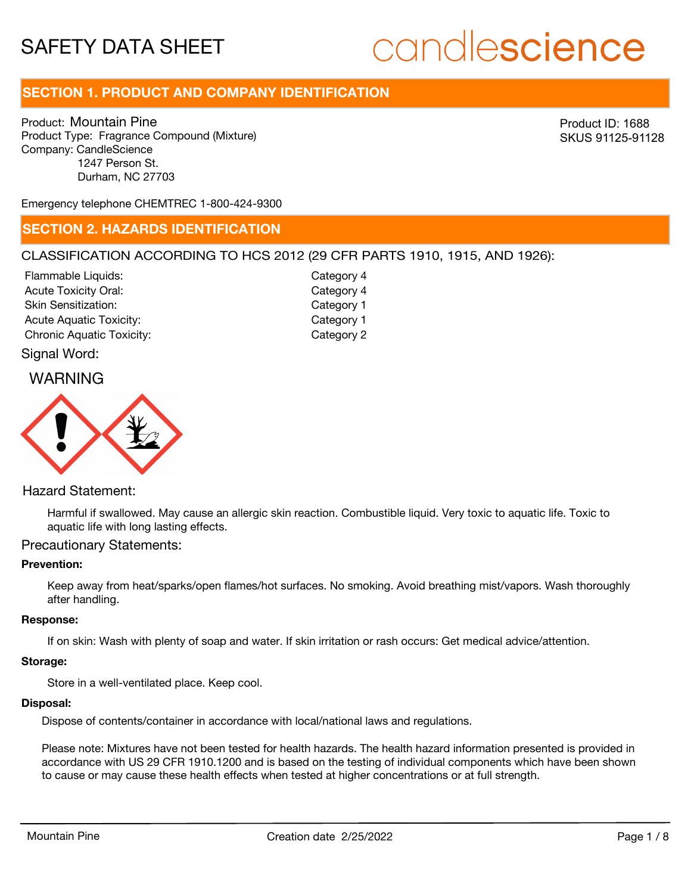# candlescience

# **SECTION 1. PRODUCT AND COMPANY IDENTIFICATION**

Product: Mountain Pine Product Type: Fragrance Compound (Mixture) Company: CandleScience 1247 Person St. Durham, NC 27703

Product ID: 1688 SKUS 91125-91128

Emergency telephone CHEMTREC 1-800-424-9300

# **SECTION 2. HAZARDS IDENTIFICATION**

## CLASSIFICATION ACCORDING TO HCS 2012 (29 CFR PARTS 1910, 1915, AND 1926):

| Category 4 |
|------------|
| Category 4 |
| Category 1 |
| Category 1 |
| Category 2 |
|            |

# Signal Word:

# WARNING



# Hazard Statement:

Harmful if swallowed. May cause an allergic skin reaction. Combustible liquid. Very toxic to aquatic life. Toxic to aquatic life with long lasting effects.

# Precautionary Statements:

#### **Prevention:**

Keep away from heat/sparks/open flames/hot surfaces. No smoking. Avoid breathing mist/vapors. Wash thoroughly after handling.

#### **Response:**

If on skin: Wash with plenty of soap and water. If skin irritation or rash occurs: Get medical advice/attention.

#### **Storage:**

Store in a well-ventilated place. Keep cool.

#### **Disposal:**

Dispose of contents/container in accordance with local/national laws and regulations.

Please note: Mixtures have not been tested for health hazards. The health hazard information presented is provided in accordance with US 29 CFR 1910.1200 and is based on the testing of individual components which have been shown to cause or may cause these health effects when tested at higher concentrations or at full strength.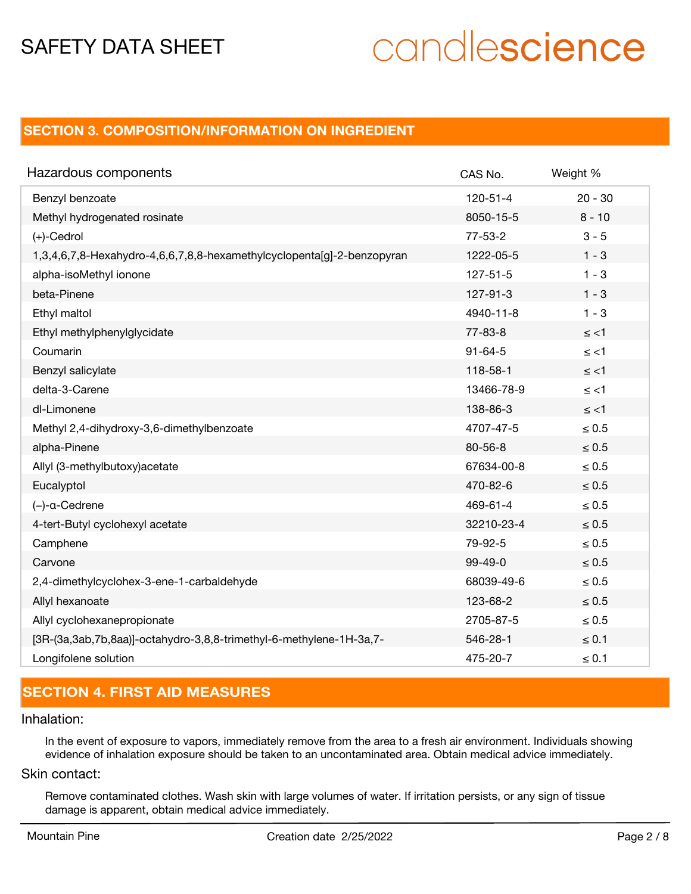# candlescience

# **SECTION 3. COMPOSITION/INFORMATION ON INGREDIENT**

| Hazardous components                                                   | CAS No.        | Weight %   |
|------------------------------------------------------------------------|----------------|------------|
| Benzyl benzoate                                                        | $120 - 51 - 4$ | $20 - 30$  |
| Methyl hydrogenated rosinate                                           | 8050-15-5      | $8 - 10$   |
| $(+)$ -Cedrol                                                          | $77 - 53 - 2$  | $3 - 5$    |
| 1,3,4,6,7,8-Hexahydro-4,6,6,7,8,8-hexamethylcyclopenta[g]-2-benzopyran | 1222-05-5      | $1 - 3$    |
| alpha-isoMethyl ionone                                                 | $127 - 51 - 5$ | $1 - 3$    |
| beta-Pinene                                                            | 127-91-3       | $1 - 3$    |
| Ethyl maltol                                                           | 4940-11-8      | $1 - 3$    |
| Ethyl methylphenylglycidate                                            | $77 - 83 - 8$  | $\le$ <1   |
| Coumarin                                                               | $91 - 64 - 5$  | $\le$ <1   |
| Benzyl salicylate                                                      | 118-58-1       | $\le$ <1   |
| delta-3-Carene                                                         | 13466-78-9     | $\le$ <1   |
| dl-Limonene                                                            | 138-86-3       | $\le$ <1   |
| Methyl 2,4-dihydroxy-3,6-dimethylbenzoate                              | 4707-47-5      | $\leq 0.5$ |
| alpha-Pinene                                                           | $80 - 56 - 8$  | $\leq 0.5$ |
| Allyl (3-methylbutoxy) acetate                                         | 67634-00-8     | $\leq 0.5$ |
| Eucalyptol                                                             | 470-82-6       | $\leq 0.5$ |
| $(-)$ -a-Cedrene                                                       | 469-61-4       | $\leq 0.5$ |
| 4-tert-Butyl cyclohexyl acetate                                        | 32210-23-4     | $\leq 0.5$ |
| Camphene                                                               | 79-92-5        | $\leq 0.5$ |
| Carvone                                                                | $99-49-0$      | $\leq 0.5$ |
| 2,4-dimethylcyclohex-3-ene-1-carbaldehyde                              | 68039-49-6     | $\leq 0.5$ |
| Allyl hexanoate                                                        | 123-68-2       | $\leq 0.5$ |
| Allyl cyclohexanepropionate                                            | 2705-87-5      | $\leq 0.5$ |
| [3R-(3a,3ab,7b,8aa)]-octahydro-3,8,8-trimethyl-6-methylene-1H-3a,7-    | 546-28-1       | $\leq 0.1$ |
| Longifolene solution                                                   | 475-20-7       | $\leq 0.1$ |

# **SECTION 4. FIRST AID MEASURES**

#### Inhalation:

In the event of exposure to vapors, immediately remove from the area to a fresh air environment. Individuals showing evidence of inhalation exposure should be taken to an uncontaminated area. Obtain medical advice immediately.

# Skin contact:

Remove contaminated clothes. Wash skin with large volumes of water. If irritation persists, or any sign of tissue damage is apparent, obtain medical advice immediately.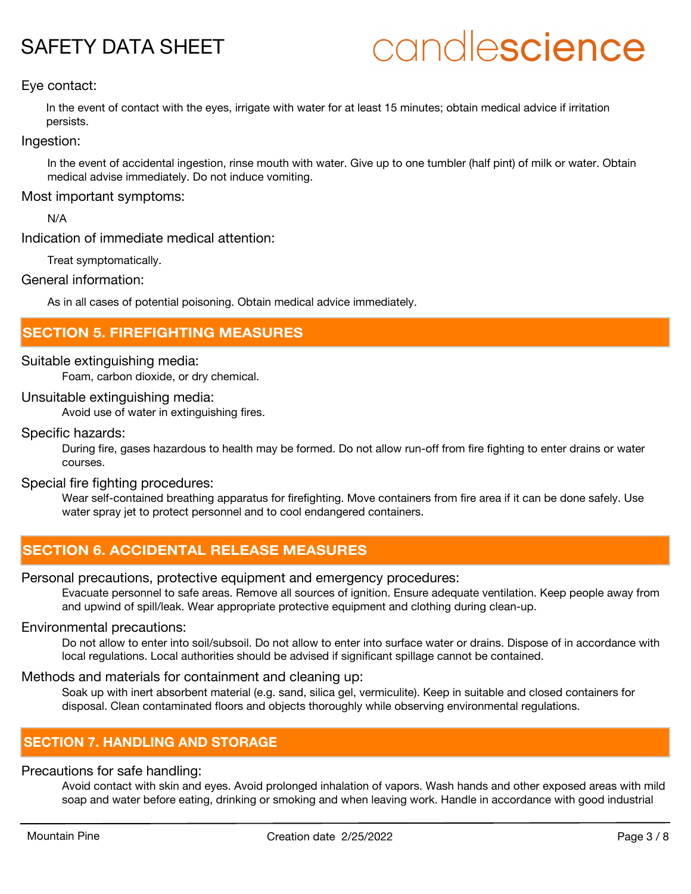# candlescience

# Eye contact:

In the event of contact with the eyes, irrigate with water for at least 15 minutes; obtain medical advice if irritation persists.

Ingestion:

In the event of accidental ingestion, rinse mouth with water. Give up to one tumbler (half pint) of milk or water. Obtain medical advise immediately. Do not induce vomiting.

Most important symptoms:

N/A

Indication of immediate medical attention:

Treat symptomatically.

General information:

As in all cases of potential poisoning. Obtain medical advice immediately.

# **SECTION 5. FIREFIGHTING MEASURES**

## Suitable extinguishing media:

Foam, carbon dioxide, or dry chemical.

# Unsuitable extinguishing media:

Avoid use of water in extinguishing fires.

## Specific hazards:

During fire, gases hazardous to health may be formed. Do not allow run-off from fire fighting to enter drains or water courses.

## Special fire fighting procedures:

Wear self-contained breathing apparatus for firefighting. Move containers from fire area if it can be done safely. Use water spray jet to protect personnel and to cool endangered containers.

# **SECTION 6. ACCIDENTAL RELEASE MEASURES**

# Personal precautions, protective equipment and emergency procedures:

Evacuate personnel to safe areas. Remove all sources of ignition. Ensure adequate ventilation. Keep people away from and upwind of spill/leak. Wear appropriate protective equipment and clothing during clean-up.

# Environmental precautions:

Do not allow to enter into soil/subsoil. Do not allow to enter into surface water or drains. Dispose of in accordance with local regulations. Local authorities should be advised if significant spillage cannot be contained.

# Methods and materials for containment and cleaning up:

Soak up with inert absorbent material (e.g. sand, silica gel, vermiculite). Keep in suitable and closed containers for disposal. Clean contaminated floors and objects thoroughly while observing environmental regulations.

# **SECTION 7. HANDLING AND STORAGE**

# Precautions for safe handling:

Avoid contact with skin and eyes. Avoid prolonged inhalation of vapors. Wash hands and other exposed areas with mild soap and water before eating, drinking or smoking and when leaving work. Handle in accordance with good industrial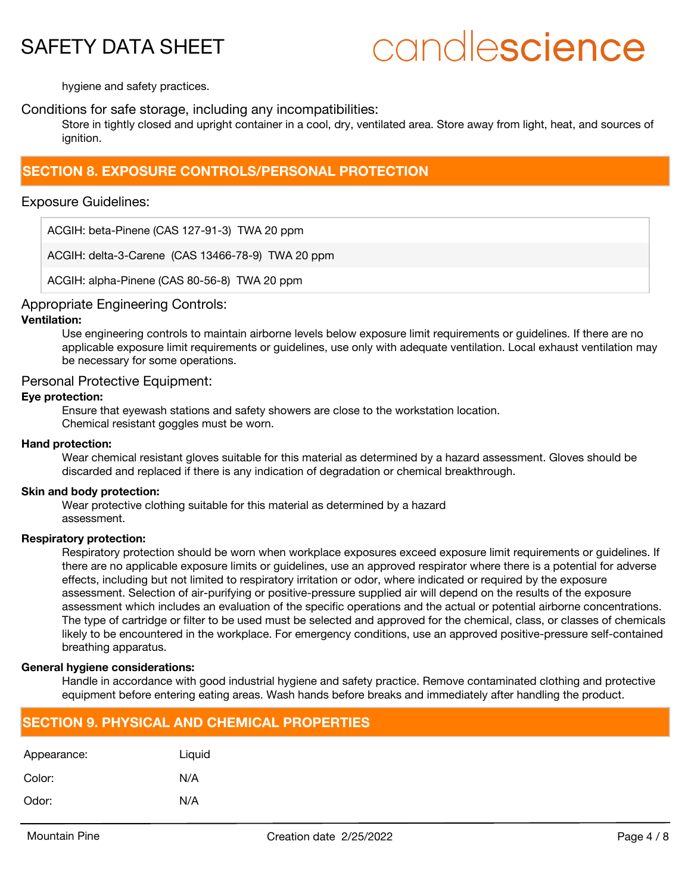# candlescience

hygiene and safety practices.

## Conditions for safe storage, including any incompatibilities:

Store in tightly closed and upright container in a cool, dry, ventilated area. Store away from light, heat, and sources of ianition.

# **SECTION 8. EXPOSURE CONTROLS/PERSONAL PROTECTION**

## Exposure Guidelines:

ACGIH: beta-Pinene (CAS 127-91-3) TWA 20 ppm

ACGIH: delta-3-Carene (CAS 13466-78-9) TWA 20 ppm

ACGIH: alpha-Pinene (CAS 80-56-8) TWA 20 ppm

## Appropriate Engineering Controls:

#### **Ventilation:**

Use engineering controls to maintain airborne levels below exposure limit requirements or guidelines. If there are no applicable exposure limit requirements or guidelines, use only with adequate ventilation. Local exhaust ventilation may be necessary for some operations.

## Personal Protective Equipment:

#### **Eye protection:**

Ensure that eyewash stations and safety showers are close to the workstation location. Chemical resistant goggles must be worn.

#### **Hand protection:**

Wear chemical resistant gloves suitable for this material as determined by a hazard assessment. Gloves should be discarded and replaced if there is any indication of degradation or chemical breakthrough.

#### **Skin and body protection:**

Wear protective clothing suitable for this material as determined by a hazard assessment.

#### **Respiratory protection:**

Respiratory protection should be worn when workplace exposures exceed exposure limit requirements or guidelines. If there are no applicable exposure limits or guidelines, use an approved respirator where there is a potential for adverse effects, including but not limited to respiratory irritation or odor, where indicated or required by the exposure assessment. Selection of air-purifying or positive-pressure supplied air will depend on the results of the exposure assessment which includes an evaluation of the specific operations and the actual or potential airborne concentrations. The type of cartridge or filter to be used must be selected and approved for the chemical, class, or classes of chemicals likely to be encountered in the workplace. For emergency conditions, use an approved positive-pressure self-contained breathing apparatus.

#### **General hygiene considerations:**

Handle in accordance with good industrial hygiene and safety practice. Remove contaminated clothing and protective equipment before entering eating areas. Wash hands before breaks and immediately after handling the product.

# **SECTION 9. PHYSICAL AND CHEMICAL PROPERTIES**

| Appearance: | Liquid |
|-------------|--------|
| Color:      | N/A    |
| Odor:       | N/A    |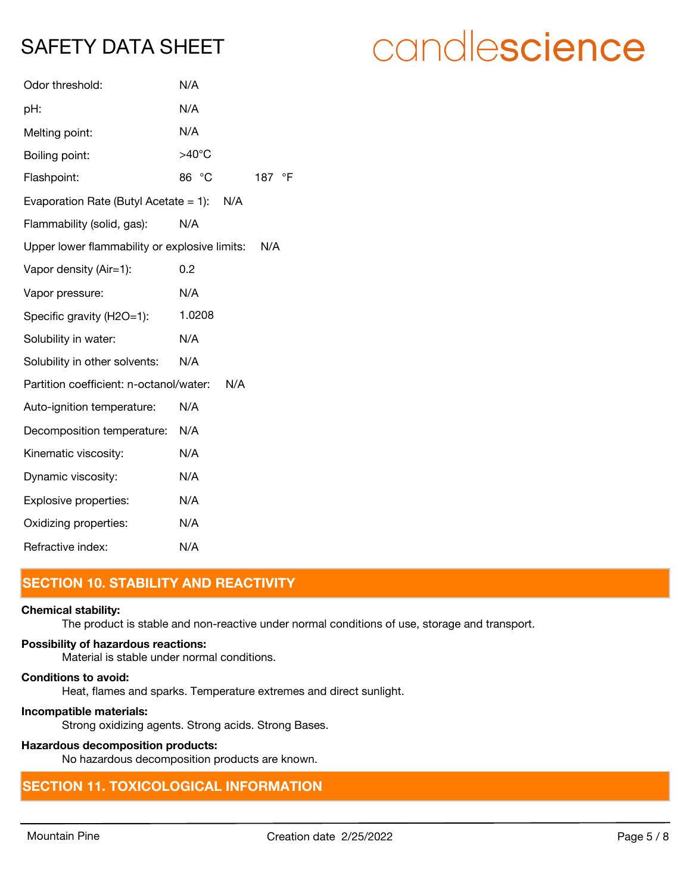| Odor threshold:                               | N/A             |           |
|-----------------------------------------------|-----------------|-----------|
| pH:                                           | N/A             |           |
| Melting point:                                | N/A             |           |
| Boiling point:                                | $>40^{\circ}$ C |           |
| Flashpoint:                                   | 86 °C           | °F<br>187 |
| Evaporation Rate (Butyl Acetate $= 1$ ):      | N/A             |           |
| Flammability (solid, gas):                    | N/A             |           |
| Upper lower flammability or explosive limits: |                 | N/A       |
| Vapor density (Air=1):                        | 0.2             |           |
| Vapor pressure:                               | N/A             |           |
| Specific gravity (H2O=1):                     | 1.0208          |           |
| Solubility in water:                          | N/A             |           |
| Solubility in other solvents:                 | N/A             |           |
| Partition coefficient: n-octanol/water:       | N/A             |           |
| Auto-ignition temperature:                    | N/A             |           |
| Decomposition temperature:                    | N/A             |           |
| Kinematic viscosity:                          | N/A             |           |
| Dynamic viscosity:                            | N/A             |           |
| Explosive properties:                         | N/A             |           |
| Oxidizing properties:                         | N/A             |           |
| Refractive index:                             | N/A             |           |

# **SECTION 10. STABILITY AND REACTIVITY**

#### **Chemical stability:**

The product is stable and non-reactive under normal conditions of use, storage and transport.

### **Possibility of hazardous reactions:**

Material is stable under normal conditions.

## **Conditions to avoid:**

Heat, flames and sparks. Temperature extremes and direct sunlight.

#### **Incompatible materials:**

Strong oxidizing agents. Strong acids. Strong Bases.

# **Hazardous decomposition products:**

No hazardous decomposition products are known.

# **SECTION 11. TOXICOLOGICAL INFORMATION**

# candlescience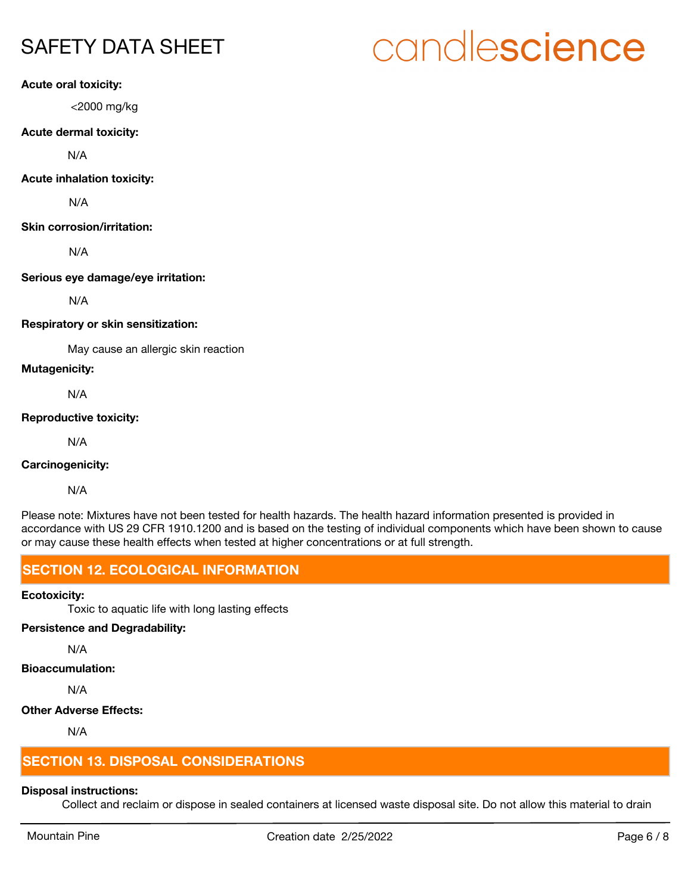# **Acute oral toxicity:**

<2000 mg/kg

#### **Acute dermal toxicity:**

N/A

#### **Acute inhalation toxicity:**

N/A

## **Skin corrosion/irritation:**

N/A

## **Serious eye damage/eye irritation:**

N/A

## **Respiratory or skin sensitization:**

May cause an allergic skin reaction

## **Mutagenicity:**

N/A

## **Reproductive toxicity:**

N/A

# **Carcinogenicity:**

N/A

Please note: Mixtures have not been tested for health hazards. The health hazard information presented is provided in accordance with US 29 CFR 1910.1200 and is based on the testing of individual components which have been shown to cause or may cause these health effects when tested at higher concentrations or at full strength.

# **SECTION 12. ECOLOGICAL INFORMATION**

# **Ecotoxicity:**

Toxic to aquatic life with long lasting effects

# **Persistence and Degradability:**

N/A

# **Bioaccumulation:**

N/A

# **Other Adverse Effects:**

N/A

# **SECTION 13. DISPOSAL CONSIDERATIONS**

# **Disposal instructions:**

Collect and reclaim or dispose in sealed containers at licensed waste disposal site. Do not allow this material to drain

# candlescience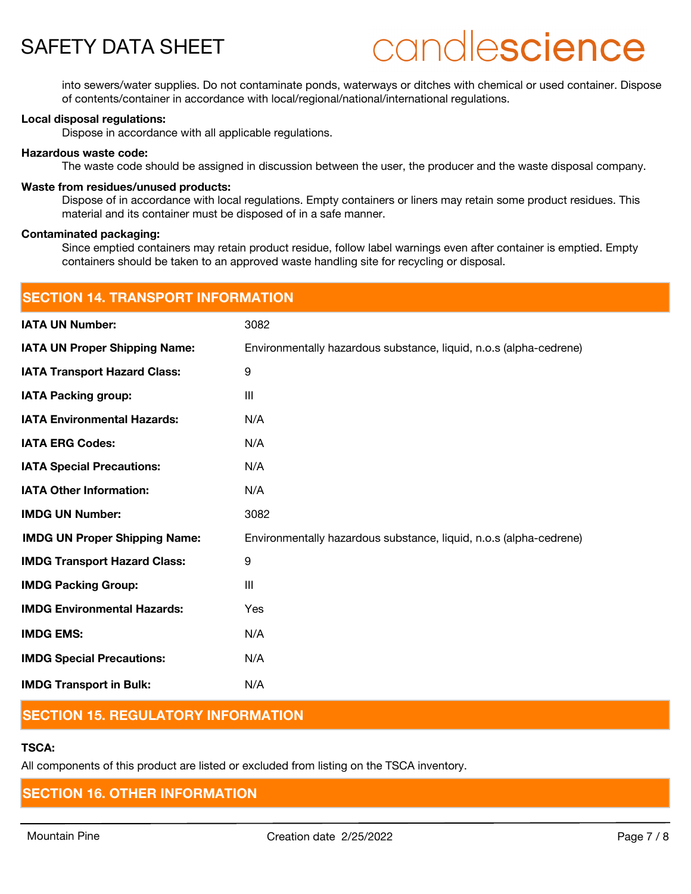# candlescience

into sewers/water supplies. Do not contaminate ponds, waterways or ditches with chemical or used container. Dispose of contents/container in accordance with local/regional/national/international regulations.

#### **Local disposal regulations:**

Dispose in accordance with all applicable regulations.

#### **Hazardous waste code:**

The waste code should be assigned in discussion between the user, the producer and the waste disposal company.

#### **Waste from residues/unused products:**

Dispose of in accordance with local regulations. Empty containers or liners may retain some product residues. This material and its container must be disposed of in a safe manner.

#### **Contaminated packaging:**

Since emptied containers may retain product residue, follow label warnings even after container is emptied. Empty containers should be taken to an approved waste handling site for recycling or disposal.

| <b>SECTION 14. TRANSPORT INFORMATION</b> |                                                                    |  |
|------------------------------------------|--------------------------------------------------------------------|--|
| <b>IATA UN Number:</b>                   | 3082                                                               |  |
| <b>IATA UN Proper Shipping Name:</b>     | Environmentally hazardous substance, liquid, n.o.s (alpha-cedrene) |  |
| <b>IATA Transport Hazard Class:</b>      | 9                                                                  |  |
| <b>IATA Packing group:</b>               | III                                                                |  |
| <b>IATA Environmental Hazards:</b>       | N/A                                                                |  |
| <b>IATA ERG Codes:</b>                   | N/A                                                                |  |
| <b>IATA Special Precautions:</b>         | N/A                                                                |  |
| <b>IATA Other Information:</b>           | N/A                                                                |  |
| <b>IMDG UN Number:</b>                   | 3082                                                               |  |
| <b>IMDG UN Proper Shipping Name:</b>     | Environmentally hazardous substance, liquid, n.o.s (alpha-cedrene) |  |
| <b>IMDG Transport Hazard Class:</b>      | 9                                                                  |  |
| <b>IMDG Packing Group:</b>               | III                                                                |  |
| <b>IMDG Environmental Hazards:</b>       | Yes                                                                |  |
| <b>IMDG EMS:</b>                         | N/A                                                                |  |
| <b>IMDG Special Precautions:</b>         | N/A                                                                |  |
| <b>IMDG Transport in Bulk:</b>           | N/A                                                                |  |

# **SECTION 15. REGULATORY INFORMATION**

# **TSCA:**

All components of this product are listed or excluded from listing on the TSCA inventory.

# **SECTION 16. OTHER INFORMATION**